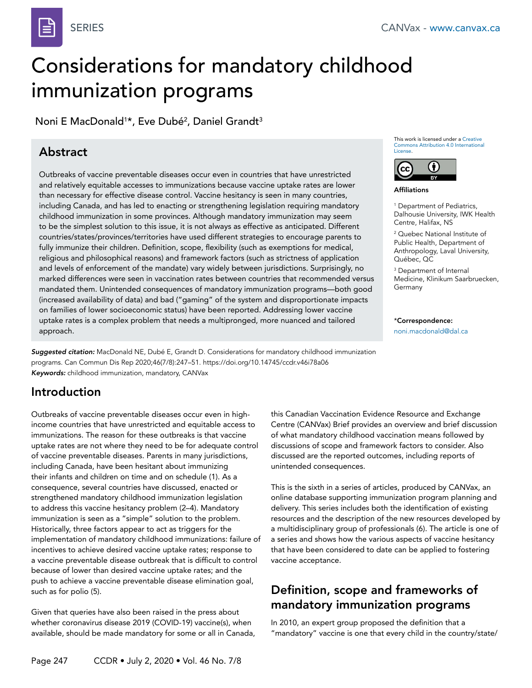

# Considerations for mandatory childhood immunization programs

Noni E MacDonald<sup>1</sup>\*, Eve Dubé<sup>2</sup>, Daniel Grandt<sup>3</sup>

# Abstract

Outbreaks of vaccine preventable diseases occur even in countries that have unrestricted and relatively equitable accesses to immunizations because vaccine uptake rates are lower than necessary for effective disease control. Vaccine hesitancy is seen in many countries, including Canada, and has led to enacting or strengthening legislation requiring mandatory childhood immunization in some provinces. Although mandatory immunization may seem to be the simplest solution to this issue, it is not always as effective as anticipated. Different countries/states/provinces/territories have used different strategies to encourage parents to fully immunize their children. Definition, scope, flexibility (such as exemptions for medical, religious and philosophical reasons) and framework factors (such as strictness of application and levels of enforcement of the mandate) vary widely between jurisdictions. Surprisingly, no marked differences were seen in vaccination rates between countries that recommended versus mandated them. Unintended consequences of mandatory immunization programs—both good (increased availability of data) and bad ("gaming" of the system and disproportionate impacts on families of lower socioeconomic status) have been reported. Addressing lower vaccine uptake rates is a complex problem that needs a multipronged, more nuanced and tailored approach.

*Suggested citation:* MacDonald NE, Dubé E, Grandt D. Considerations for mandatory childhood immunization programs. Can Commun Dis Rep 2020;46(7/8):247–51. https://doi.org/10.14745/ccdr.v46i78a06 *Keywords:* childhood immunization, mandatory, CANVax

### Introduction

Outbreaks of vaccine preventable diseases occur even in highincome countries that have unrestricted and equitable access to immunizations. The reason for these outbreaks is that vaccine uptake rates are not where they need to be for adequate control of vaccine preventable diseases. Parents in many jurisdictions, including Canada, have been hesitant about immunizing their infants and children on time and on schedule (1). As a consequence, several countries have discussed, enacted or strengthened mandatory childhood immunization legislation to address this vaccine hesitancy problem (2–4). Mandatory immunization is seen as a "simple" solution to the problem. Historically, three factors appear to act as triggers for the implementation of mandatory childhood immunizations: failure of incentives to achieve desired vaccine uptake rates; response to a vaccine preventable disease outbreak that is difficult to control because of lower than desired vaccine uptake rates; and the push to achieve a vaccine preventable disease elimination goal, such as for polio (5).

Given that queries have also been raised in the press about whether coronavirus disease 2019 (COVID-19) vaccine(s), when available, should be made mandatory for some or all in Canada, This work is licensed under a [Creative](https://creativecommons.org/licenses/by/4.0/)  [Commons Attribution 4.0 International](https://creativecommons.org/licenses/by/4.0/)  [License](https://creativecommons.org/licenses/by/4.0/).



Affiliations

1 Department of Pediatrics, Dalhousie University, IWK Health Centre, Halifax, NS

2 Quebec National Institute of Public Health, Department of Anthropology, Laval University, Québec, QC

3 Department of Internal Medicine, Klinikum Saarbruecken, Germany

\*Correspondence: [noni.macdonald@dal.ca](mailto:noni.macdonald%40dal.ca?subject=noni.macdonald%40dal.ca)

this Canadian Vaccination Evidence Resource and Exchange Centre (CANVax) Brief provides an overview and brief discussion of what mandatory childhood vaccination means followed by discussions of scope and framework factors to consider. Also discussed are the reported outcomes, including reports of unintended consequences.

This is the sixth in a series of articles, produced by CANVax, an online database supporting immunization program planning and delivery. This series includes both the identification of existing resources and the description of the new resources developed by a multidisciplinary group of professionals (6). The article is one of a series and shows how the various aspects of vaccine hesitancy that have been considered to date can be applied to fostering vaccine acceptance.

#### Definition, scope and frameworks of mandatory immunization programs

In 2010, an expert group proposed the definition that a "mandatory" vaccine is one that every child in the country/state/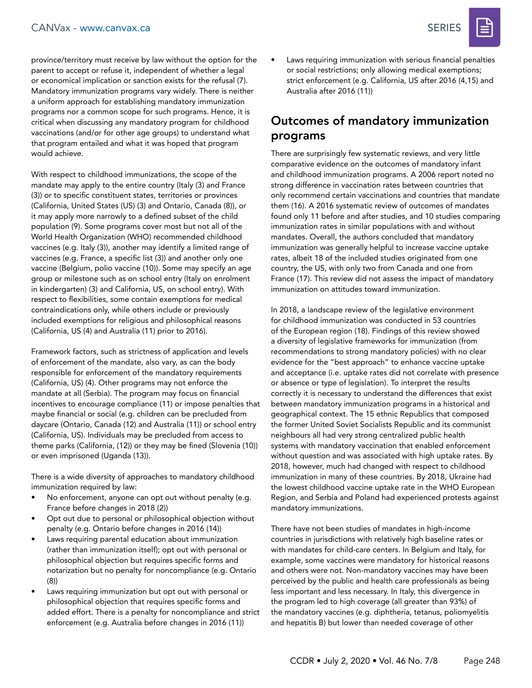province/territory must receive by law without the option for the parent to accept or refuse it, independent of whether a legal or economical implication or sanction exists for the refusal (7). Mandatory immunization programs vary widely. There is neither a uniform approach for establishing mandatory immunization programs nor a common scope for such programs. Hence, it is critical when discussing any mandatory program for childhood vaccinations (and/or for other age groups) to understand what that program entailed and what it was hoped that program would achieve.

With respect to childhood immunizations, the scope of the mandate may apply to the entire country (Italy (3) and France (3)) or to specific constituent states, territories or provinces (California, United States (US) (3) and Ontario, Canada (8)), or it may apply more narrowly to a defined subset of the child population (9). Some programs cover most but not all of the World Health Organization (WHO) recommended childhood vaccines (e.g. Italy (3)), another may identify a limited range of vaccines (e.g. France, a specific list (3)) and another only one vaccine (Belgium, polio vaccine (10)). Some may specify an age group or milestone such as on school entry (Italy on enrolment in kindergarten) (3) and California, US, on school entry). With respect to flexibilities, some contain exemptions for medical contraindications only, while others include or previously included exemptions for religious and philosophical reasons (California, US (4) and Australia (11) prior to 2016).

Framework factors, such as strictness of application and levels of enforcement of the mandate, also vary, as can the body responsible for enforcement of the mandatory requirements (California, US) (4). Other programs may not enforce the mandate at all (Serbia). The program may focus on financial incentives to encourage compliance (11) or impose penalties that maybe financial or social (e.g. children can be precluded from daycare (Ontario, Canada (12) and Australia (11)) or school entry (California, US). Individuals may be precluded from access to theme parks (California, (12)) or they may be fined (Slovenia (10)) or even imprisoned (Uganda (13)).

There is a wide diversity of approaches to mandatory childhood immunization required by law:

- No enforcement, anyone can opt out without penalty (e.g. France before changes in 2018 (2))
- Opt out due to personal or philosophical objection without penalty (e.g. Ontario before changes in 2016 (14))
- Laws requiring parental education about immunization (rather than immunization itself); opt out with personal or philosophical objection but requires specific forms and notarization but no penalty for noncompliance (e.g. Ontario (8))
- Laws requiring immunization but opt out with personal or philosophical objection that requires specific forms and added effort. There is a penalty for noncompliance and strict enforcement (e.g. Australia before changes in 2016 (11))

Laws requiring immunization with serious financial penalties or social restrictions; only allowing medical exemptions; strict enforcement (e.g. California, US after 2016 (4,15) and Australia after 2016 (11))

#### Outcomes of mandatory immunization programs

There are surprisingly few systematic reviews, and very little comparative evidence on the outcomes of mandatory infant and childhood immunization programs. A 2006 report noted no strong difference in vaccination rates between countries that only recommend certain vaccinations and countries that mandate them (16). A 2016 systematic review of outcomes of mandates found only 11 before and after studies, and 10 studies comparing immunization rates in similar populations with and without mandates. Overall, the authors concluded that mandatory immunization was generally helpful to increase vaccine uptake rates, albeit 18 of the included studies originated from one country, the US, with only two from Canada and one from France (17). This review did not assess the impact of mandatory immunization on attitudes toward immunization.

In 2018, a landscape review of the legislative environment for childhood immunization was conducted in 53 countries of the European region (18). Findings of this review showed a diversity of legislative frameworks for immunization (from recommendations to strong mandatory policies) with no clear evidence for the "best approach" to enhance vaccine uptake and acceptance (i.e. uptake rates did not correlate with presence or absence or type of legislation). To interpret the results correctly it is necessary to understand the differences that exist between mandatory immunization programs in a historical and geographical context. The 15 ethnic Republics that composed the former United Soviet Socialists Republic and its communist neighbours all had very strong centralized public health systems with mandatory vaccination that enabled enforcement without question and was associated with high uptake rates. By 2018, however, much had changed with respect to childhood immunization in many of these countries. By 2018, Ukraine had the lowest childhood vaccine uptake rate in the WHO European Region, and Serbia and Poland had experienced protests against mandatory immunizations.

There have not been studies of mandates in high-income countries in jurisdictions with relatively high baseline rates or with mandates for child-care centers. In Belgium and Italy, for example, some vaccines were mandatory for historical reasons and others were not. Non-mandatory vaccines may have been perceived by the public and health care professionals as being less important and less necessary. In Italy, this divergence in the program led to high coverage (all greater than 93%) of the mandatory vaccines (e.g. diphtheria, tetanus, poliomyelitis and hepatitis B) but lower than needed coverage of other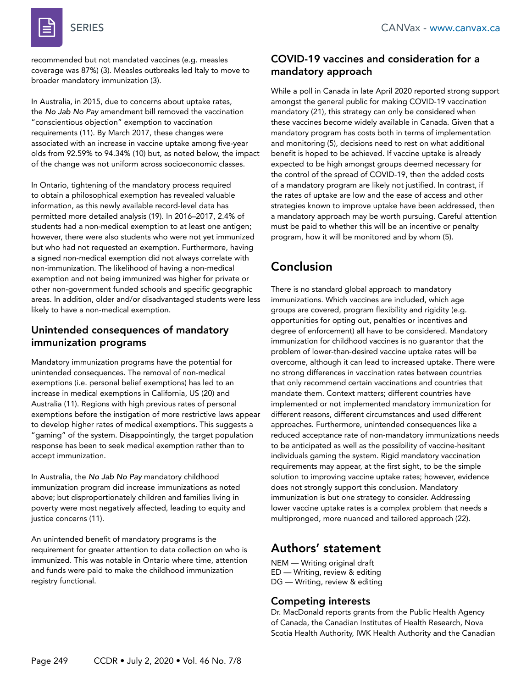

recommended but not mandated vaccines (e.g. measles coverage was 87%) (3). Measles outbreaks led Italy to move to broader mandatory immunization (3).

In Australia, in 2015, due to concerns about uptake rates, the *No Jab No Pay* amendment bill removed the vaccination "conscientious objection" exemption to vaccination requirements (11). By March 2017, these changes were associated with an increase in vaccine uptake among five-year olds from 92.59% to 94.34% (10) but, as noted below, the impact of the change was not uniform across socioeconomic classes.

In Ontario, tightening of the mandatory process required to obtain a philosophical exemption has revealed valuable information, as this newly available record-level data has permitted more detailed analysis (19). In 2016–2017, 2.4% of students had a non-medical exemption to at least one antigen; however, there were also students who were not yet immunized but who had not requested an exemption. Furthermore, having a signed non-medical exemption did not always correlate with non-immunization. The likelihood of having a non-medical exemption and not being immunized was higher for private or other non-government funded schools and specific geographic areas. In addition, older and/or disadvantaged students were less likely to have a non-medical exemption.

#### Unintended consequences of mandatory immunization programs

Mandatory immunization programs have the potential for unintended consequences. The removal of non-medical exemptions (i.e. personal belief exemptions) has led to an increase in medical exemptions in California, US (20) and Australia (11). Regions with high previous rates of personal exemptions before the instigation of more restrictive laws appear to develop higher rates of medical exemptions. This suggests a "gaming" of the system. Disappointingly, the target population response has been to seek medical exemption rather than to accept immunization.

In Australia, the *No Jab No Pay* mandatory childhood immunization program did increase immunizations as noted above; but disproportionately children and families living in poverty were most negatively affected, leading to equity and justice concerns (11).

An unintended benefit of mandatory programs is the requirement for greater attention to data collection on who is immunized. This was notable in Ontario where time, attention and funds were paid to make the childhood immunization registry functional.

#### COVID-19 vaccines and consideration for a mandatory approach

While a poll in Canada in late April 2020 reported strong support amongst the general public for making COVID-19 vaccination mandatory (21), this strategy can only be considered when these vaccines become widely available in Canada. Given that a mandatory program has costs both in terms of implementation and monitoring (5), decisions need to rest on what additional benefit is hoped to be achieved. If vaccine uptake is already expected to be high amongst groups deemed necessary for the control of the spread of COVID-19, then the added costs of a mandatory program are likely not justified. In contrast, if the rates of uptake are low and the ease of access and other strategies known to improve uptake have been addressed, then a mandatory approach may be worth pursuing. Careful attention must be paid to whether this will be an incentive or penalty program, how it will be monitored and by whom (5).

# Conclusion

There is no standard global approach to mandatory immunizations. Which vaccines are included, which age groups are covered, program flexibility and rigidity (e.g. opportunities for opting out, penalties or incentives and degree of enforcement) all have to be considered. Mandatory immunization for childhood vaccines is no guarantor that the problem of lower-than-desired vaccine uptake rates will be overcome, although it can lead to increased uptake. There were no strong differences in vaccination rates between countries that only recommend certain vaccinations and countries that mandate them. Context matters; different countries have implemented or not implemented mandatory immunization for different reasons, different circumstances and used different approaches. Furthermore, unintended consequences like a reduced acceptance rate of non-mandatory immunizations needs to be anticipated as well as the possibility of vaccine-hesitant individuals gaming the system. Rigid mandatory vaccination requirements may appear, at the first sight, to be the simple solution to improving vaccine uptake rates; however, evidence does not strongly support this conclusion. Mandatory immunization is but one strategy to consider. Addressing lower vaccine uptake rates is a complex problem that needs a multipronged, more nuanced and tailored approach (22).

### Authors' statement

NEM — Writing original draft ED — Writing, review & editing DG — Writing, review & editing

#### Competing interests

Dr. MacDonald reports grants from the Public Health Agency of Canada, the Canadian Institutes of Health Research, Nova Scotia Health Authority, IWK Health Authority and the Canadian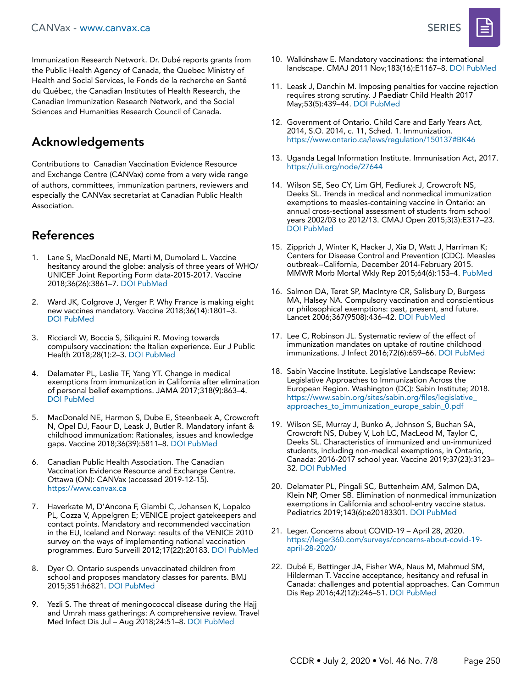#### CANVax - [www.canvax.ca](http://www.canvax.ca) SERIES



Immunization Research Network. Dr. Dubé reports grants from the Public Health Agency of Canada, the Quebec Ministry of Health and Social Services, le Fonds de la recherche en Santé du Québec, the Canadian Institutes of Health Research, the Canadian Immunization Research Network, and the Social Sciences and Humanities Research Council of Canada.

# Acknowledgements

Contributions to Canadian Vaccination Evidence Resource and Exchange Centre (CANVax) come from a very wide range of authors, committees, immunization partners, reviewers and especially the CANVax secretariat at Canadian Public Health Association.

# References

- 1. Lane S, MacDonald NE, Marti M, Dumolard L. Vaccine hesitancy around the globe: analysis of three years of WHO/ UNICEF Joint Reporting Form data-2015-2017. Vaccine 2018;36(26):3861–7. [DOI](https://doi.org/10.1016/j.vaccine.2018.03.063) [PubMed](https://www.ncbi.nlm.nih.gov/entrez/query.fcgi?cmd=Retrieve&db=PubMed&list_uids=29605516&dopt=Abstract)
- 2. Ward JK, Colgrove J, Verger P. Why France is making eight new vaccines mandatory. Vaccine 2018;36(14):1801–3. [DOI](https://doi.org/10.1016/j.vaccine.2018.02.095) [PubMed](https://www.ncbi.nlm.nih.gov/entrez/query.fcgi?cmd=Retrieve&db=PubMed&list_uids=29506923&dopt=Abstract)
- 3. Ricciardi W, Boccia S, Siliquini R. Moving towards compulsory vaccination: the Italian experience. Eur J Public Health 2018;28(1):2–3. [DOI](https://doi.org/10.1093/eurpub/ckx214) [PubMed](https://www.ncbi.nlm.nih.gov/entrez/query.fcgi?cmd=Retrieve&db=PubMed&list_uids=29346665&dopt=Abstract)
- 4. Delamater PL, Leslie TF, Yang YT. Change in medical exemptions from immunization in California after elimination of personal belief exemptions. JAMA 2017;318(9):863–4. [DOI](https://doi.org/10.1001/jama.2017.9242) [PubMed](https://www.ncbi.nlm.nih.gov/entrez/query.fcgi?cmd=Retrieve&db=PubMed&list_uids=28873152&dopt=Abstract)
- 5. MacDonald NE, Harmon S, Dube E, Steenbeek A, Crowcroft N, Opel DJ, Faour D, Leask J, Butler R. Mandatory infant & childhood immunization: Rationales, issues and knowledge gaps. Vaccine 2018;36(39):5811–8. [DOI](https://doi.org/10.1016/j.vaccine.2018.08.042) [PubMed](https://www.ncbi.nlm.nih.gov/entrez/query.fcgi?cmd=Retrieve&db=PubMed&list_uids=30143274&dopt=Abstract)
- 6. Canadian Public Health Association. The Canadian Vaccination Evidence Resource and Exchange Centre. Ottawa (ON): CANVax (accessed 2019-12-15). <https://www.canvax.ca>
- 7. Haverkate M, D'Ancona F, Giambi C, Johansen K, Lopalco PL, Cozza V, Appelgren E; VENICE project gatekeepers and contact points. Mandatory and recommended vaccination in the EU, Iceland and Norway: results of the VENICE 2010 survey on the ways of implementing national vaccination programmes. Euro Surveill 2012;17(22):20183. [DOI](https://doi.org/10.2807/ese.17.22.20183-en) [PubMed](https://www.ncbi.nlm.nih.gov/entrez/query.fcgi?cmd=Retrieve&db=PubMed&list_uids=22687916&dopt=Abstract)
- 8. Dyer O. Ontario suspends unvaccinated children from school and proposes mandatory classes for parents. BMJ 2015;351:h6821. [DOI](https://doi.org/10.1136/bmj.h6821) [PubMed](https://www.ncbi.nlm.nih.gov/entrez/query.fcgi?cmd=Retrieve&db=PubMed&list_uids=26671229&dopt=Abstract)
- Yezli S. The threat of meningococcal disease during the Hajj and Umrah mass gatherings: A comprehensive review. Travel Med Infect Dis Jul – Aug 2018;24:51–8. [DOI](https://doi.org/10.1016/j.tmaid.2018.05.003) [PubMed](https://www.ncbi.nlm.nih.gov/entrez/query.fcgi?cmd=Retrieve&db=PubMed&list_uids=29751133&dopt=Abstract)
- 10. Walkinshaw E. Mandatory vaccinations: the international landscape. CMAJ 2011 Nov;183(16):E1167–8. [DOI](https://doi.org/10.1503/cmaj.109-3993) [PubMed](https://www.ncbi.nlm.nih.gov/entrez/query.fcgi?cmd=Retrieve&db=PubMed&list_uids=21989473&dopt=Abstract)
- 11. Leask J, Danchin M. Imposing penalties for vaccine rejection requires strong scrutiny. J Paediatr Child Health 2017 May;53(5):439–44. [DOI](https://doi.org/10.1111/jpc.13472) [PubMed](https://www.ncbi.nlm.nih.gov/entrez/query.fcgi?cmd=Retrieve&db=PubMed&list_uids=28168768&dopt=Abstract)
- 12. Government of Ontario. Child Care and Early Years Act, 2014, S.O. 2014, c. 11, Sched. 1. Immunization. <https://www.ontario.ca/laws/regulation/150137#BK46>
- 13. Uganda Legal Information Institute. Immunisation Act, 2017. <https://ulii.org/node/27644>
- 14. Wilson SE, Seo CY, Lim GH, Fediurek J, Crowcroft NS, Deeks SL. Trends in medical and nonmedical immunization exemptions to measles-containing vaccine in Ontario: an annual cross-sectional assessment of students from school years 2002/03 to 2012/13. CMAJ Open 2015;3(3):E317–23. [DOI](https://doi.org/10.9778/cmajo.20140088) [PubMed](https://www.ncbi.nlm.nih.gov/entrez/query.fcgi?cmd=Retrieve&db=PubMed&list_uids=26457292&dopt=Abstract)
- 15. Zipprich J, Winter K, Hacker J, Xia D, Watt J, Harriman K; Centers for Disease Control and Prevention (CDC). Measles outbreak--California, December 2014-February 2015. MMWR Morb Mortal Wkly Rep 2015;64(6):153–4. [PubMed](https://www.ncbi.nlm.nih.gov/entrez/query.fcgi?cmd=Retrieve&db=PubMed&list_uids=25695321&dopt=Abstract)
- 16. Salmon DA, Teret SP, MacIntyre CR, Salisbury D, Burgess MA, Halsey NA. Compulsory vaccination and conscientious or philosophical exemptions: past, present, and future. Lancet 2006;367(9508):436–42. [DOI](https://doi.org/10.1016/S0140-6736(06)68144-0) [PubMed](https://www.ncbi.nlm.nih.gov/entrez/query.fcgi?cmd=Retrieve&db=PubMed&list_uids=16458770&dopt=Abstract)
- 17. Lee C, Robinson JL. Systematic review of the effect of immunization mandates on uptake of routine childhood immunizations. J Infect 2016;72(6):659–66. [DOI](https://doi.org/10.1016/j.jinf.2016.04.002) [PubMed](https://www.ncbi.nlm.nih.gov/entrez/query.fcgi?cmd=Retrieve&db=PubMed&list_uids=27063281&dopt=Abstract)
- 18. Sabin Vaccine Institute. Legislative Landscape Review: Legislative Approaches to Immunization Across the European Region. Washington (DC): Sabin Institute; 2018. [https://www.sabin.org/sites/sabin.org/files/legislative\\_](https://www.sabin.org/sites/sabin.org/files/legislative_approaches_to_immunization_europe_sabin_0.pdf) [approaches\\_to\\_immunization\\_europe\\_sabin\\_0.pdf](https://www.sabin.org/sites/sabin.org/files/legislative_approaches_to_immunization_europe_sabin_0.pdf)
- 19. Wilson SE, Murray J, Bunko A, Johnson S, Buchan SA, Crowcroft NS, Dubey V, Loh LC, MacLeod M, Taylor C, Deeks SL. Characteristics of immunized and un-immunized students, including non-medical exemptions, in Ontario, Canada: 2016-2017 school year. Vaccine 2019;37(23):3123– 32. [DOI](https://doi.org/10.1016/j.vaccine.2019.04.033) [PubMed](https://www.ncbi.nlm.nih.gov/entrez/query.fcgi?cmd=Retrieve&db=PubMed&list_uids=31029513&dopt=Abstract)
- 20. Delamater PL, Pingali SC, Buttenheim AM, Salmon DA, Klein NP, Omer SB. Elimination of nonmedical immunization exemptions in California and school-entry vaccine status. Pediatrics 2019;143(6):e20183301. [DOI](https://doi.org/10.1542/peds.2018-3301) [PubMed](https://www.ncbi.nlm.nih.gov/entrez/query.fcgi?cmd=Retrieve&db=PubMed&list_uids=31113831&dopt=Abstract)
- 21. Leger. Concerns about COVID-19 April 28, 2020. [https://leger360.com/surveys/](https://leger360.com/surveys/concerns-about-covid-19-april-28-2020/)concerns-about-covid-19 [april-28-2020/](https://leger360.com/surveys/concerns-about-covid-19-april-28-2020/)
- 22. Dubé E, Bettinger JA, Fisher WA, Naus M, Mahmud SM, Hilderman T. Vaccine acceptance, hesitancy and refusal in Canada: challenges and potential approaches. Can Commun Dis Rep 2016;42(12):246–51. [DOI](https://doi.org/10.14745/ccdr.v42i12a02) [PubMed](https://www.ncbi.nlm.nih.gov/entrez/query.fcgi?cmd=Retrieve&db=PubMed&list_uids=29769995&dopt=Abstract)